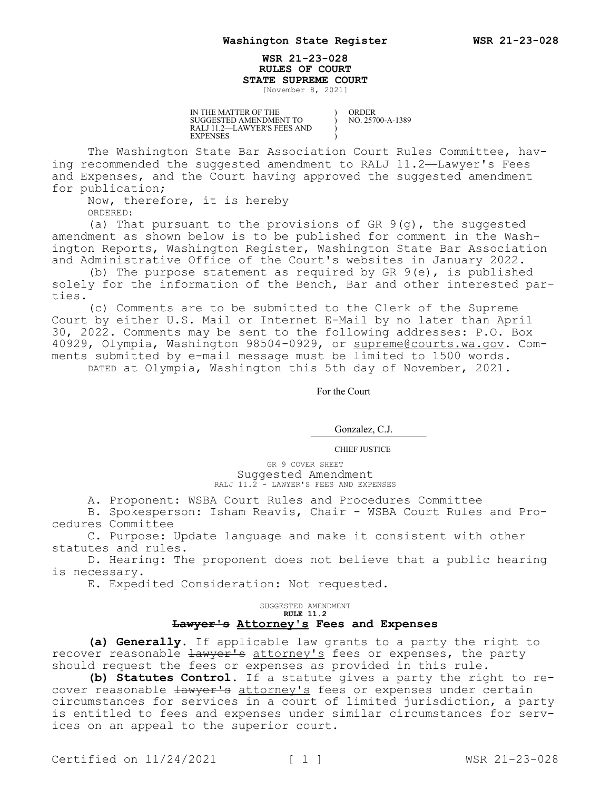## **WSR 21-23-028 RULES OF COURT STATE SUPREME COURT**

) ) ) )

[November 8, 2021]

IN THE MATTER OF THE SUGGESTED AMENDMENT TO RALJ 11.2—LAWYER'S FEES AND EXPENSES

ORDER NO. 25700-A-1389

The Washington State Bar Association Court Rules Committee, having recommended the suggested amendment to RALJ 11.2—Lawyer's Fees and Expenses, and the Court having approved the suggested amendment for publication;

Now, therefore, it is hereby

ORDERED:

(a) That pursuant to the provisions of GR 9(g), the suggested amendment as shown below is to be published for comment in the Washington Reports, Washington Register, Washington State Bar Association and Administrative Office of the Court's websites in January 2022.

(b) The purpose statement as required by GR 9(e), is published solely for the information of the Bench, Bar and other interested parties.

(c) Comments are to be submitted to the Clerk of the Supreme Court by either U.S. Mail or Internet E-Mail by no later than April 30, 2022. Comments may be sent to the following addresses: P.O. Box 40929, Olympia, Washington 98504-0929, or supreme@courts.wa.qov. Comments submitted by e-mail message must be limited to 1500 words. DATED at Olympia, Washington this 5th day of November, 2021.

For the Court

Gonzalez, C.J.

CHIEF JUSTICE

GR 9 COVER SHEET Suggested Amendment RALJ 11.2 - LAWYER'S FEES AND EXPENSES

A. Proponent: WSBA Court Rules and Procedures Committee

B. Spokesperson: Isham Reavis, Chair - WSBA Court Rules and Procedures Committee

C. Purpose: Update language and make it consistent with other statutes and rules.

D. Hearing: The proponent does not believe that a public hearing is necessary.

E. Expedited Consideration: Not requested.

## SUGGESTED AMENDMENT **RULE 11.2 Lawyer's Attorney's Fees and Expenses**

**(a) Generally.** If applicable law grants to a party the right to recover reasonable lawyer's attorney's fees or expenses, the party should request the fees or expenses as provided in this rule.

**(b) Statutes Control.** If a statute gives a party the right to recover reasonable lawyer's attorney's fees or expenses under certain circumstances for services in a court of limited jurisdiction, a party is entitled to fees and expenses under similar circumstances for services on an appeal to the superior court.